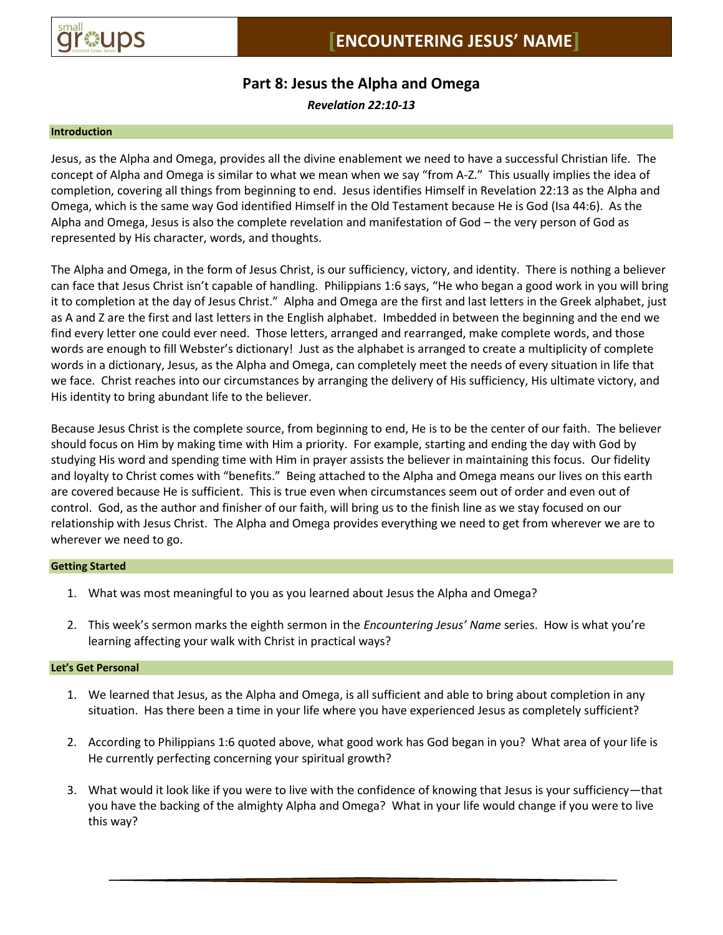

# **Part 8: Jesus the Alpha and Omega**

*Revelation 22:10-13*

#### **Introduction**

Jesus, as the Alpha and Omega, provides all the divine enablement we need to have a successful Christian life. The concept of Alpha and Omega is similar to what we mean when we say "from A-Z." This usually implies the idea of completion, covering all things from beginning to end. Jesus identifies Himself in Revelation 22:13 as the Alpha and Omega, which is the same way God identified Himself in the Old Testament because He is God (Isa 44:6). As the Alpha and Omega, Jesus is also the complete revelation and manifestation of God – the very person of God as represented by His character, words, and thoughts.

The Alpha and Omega, in the form of Jesus Christ, is our sufficiency, victory, and identity. There is nothing a believer can face that Jesus Christ isn't capable of handling. Philippians 1:6 says, "He who began a good work in you will bring it to completion at the day of Jesus Christ." Alpha and Omega are the first and last letters in the Greek alphabet, just as A and Z are the first and last letters in the English alphabet. Imbedded in between the beginning and the end we find every letter one could ever need. Those letters, arranged and rearranged, make complete words, and those words are enough to fill Webster's dictionary! Just as the alphabet is arranged to create a multiplicity of complete words in a dictionary, Jesus, as the Alpha and Omega, can completely meet the needs of every situation in life that we face. Christ reaches into our circumstances by arranging the delivery of His sufficiency, His ultimate victory, and His identity to bring abundant life to the believer.

Because Jesus Christ is the complete source, from beginning to end, He is to be the center of our faith. The believer should focus on Him by making time with Him a priority. For example, starting and ending the day with God by studying His word and spending time with Him in prayer assists the believer in maintaining this focus. Our fidelity and loyalty to Christ comes with "benefits." Being attached to the Alpha and Omega means our lives on this earth are covered because He is sufficient. This is true even when circumstances seem out of order and even out of control. God, as the author and finisher of our faith, will bring us to the finish line as we stay focused on our relationship with Jesus Christ. The Alpha and Omega provides everything we need to get from wherever we are to wherever we need to go.

## **Getting Started**

- 1. What was most meaningful to you as you learned about Jesus the Alpha and Omega?
- 2. This week's sermon marks the eighth sermon in the *Encountering Jesus' Name* series. How is what you're learning affecting your walk with Christ in practical ways?

## **Let's Get Personal**

- 1. We learned that Jesus, as the Alpha and Omega, is all sufficient and able to bring about completion in any situation. Has there been a time in your life where you have experienced Jesus as completely sufficient?
- 2. According to Philippians 1:6 quoted above, what good work has God began in you? What area of your life is He currently perfecting concerning your spiritual growth?
- 3. What would it look like if you were to live with the confidence of knowing that Jesus is your sufficiency—that you have the backing of the almighty Alpha and Omega? What in your life would change if you were to live this way?